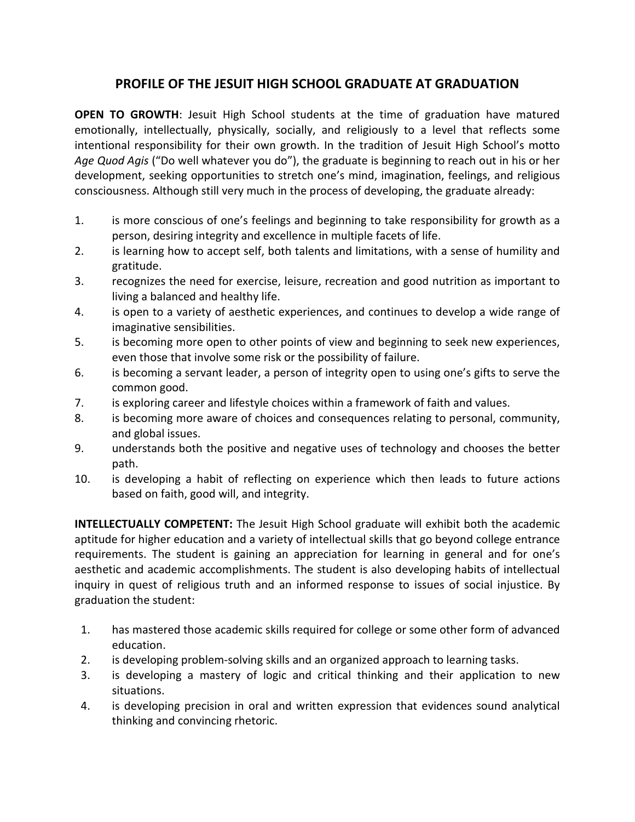## **PROFILE OF THE JESUIT HIGH SCHOOL GRADUATE AT GRADUATION**

**OPEN TO GROWTH**: Jesuit High School students at the time of graduation have matured emotionally, intellectually, physically, socially, and religiously to a level that reflects some intentional responsibility for their own growth. In the tradition of Jesuit High School's motto *Age Quod Agis* ("Do well whatever you do"), the graduate is beginning to reach out in his or her development, seeking opportunities to stretch one's mind, imagination, feelings, and religious consciousness. Although still very much in the process of developing, the graduate already:

- 1. is more conscious of one's feelings and beginning to take responsibility for growth as a person, desiring integrity and excellence in multiple facets of life.
- 2. is learning how to accept self, both talents and limitations, with a sense of humility and gratitude.
- 3. recognizes the need for exercise, leisure, recreation and good nutrition as important to living a balanced and healthy life.
- 4. is open to a variety of aesthetic experiences, and continues to develop a wide range of imaginative sensibilities.
- 5. is becoming more open to other points of view and beginning to seek new experiences, even those that involve some risk or the possibility of failure.
- 6. is becoming a servant leader, a person of integrity open to using one's gifts to serve the common good.
- 7. is exploring career and lifestyle choices within a framework of faith and values.
- 8. is becoming more aware of choices and consequences relating to personal, community, and global issues.
- 9. understands both the positive and negative uses of technology and chooses the better path.
- 10. is developing a habit of reflecting on experience which then leads to future actions based on faith, good will, and integrity.

**INTELLECTUALLY COMPETENT:** The Jesuit High School graduate will exhibit both the academic aptitude for higher education and a variety of intellectual skills that go beyond college entrance requirements. The student is gaining an appreciation for learning in general and for one's aesthetic and academic accomplishments. The student is also developing habits of intellectual inquiry in quest of religious truth and an informed response to issues of social injustice. By graduation the student:

- 1. has mastered those academic skills required for college or some other form of advanced education.
- 2. is developing problem-solving skills and an organized approach to learning tasks.
- 3. is developing a mastery of logic and critical thinking and their application to new situations.
- 4. is developing precision in oral and written expression that evidences sound analytical thinking and convincing rhetoric.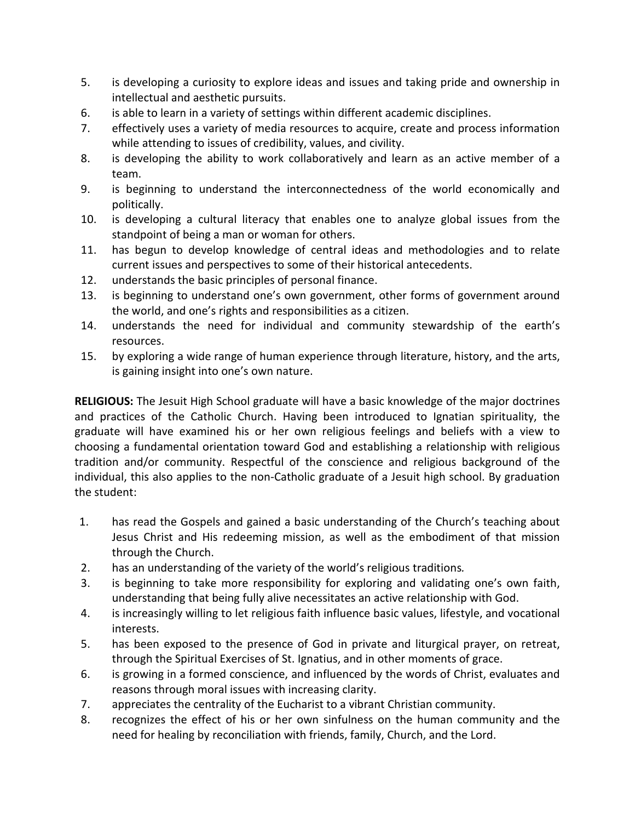- 5. is developing a curiosity to explore ideas and issues and taking pride and ownership in intellectual and aesthetic pursuits.
- 6. is able to learn in a variety of settings within different academic disciplines.
- 7. effectively uses a variety of media resources to acquire, create and process information while attending to issues of credibility, values, and civility.
- 8. is developing the ability to work collaboratively and learn as an active member of a team.
- 9. is beginning to understand the interconnectedness of the world economically and politically.
- 10. is developing a cultural literacy that enables one to analyze global issues from the standpoint of being a man or woman for others.
- 11. has begun to develop knowledge of central ideas and methodologies and to relate current issues and perspectives to some of their historical antecedents.
- 12. understands the basic principles of personal finance.
- 13. is beginning to understand one's own government, other forms of government around the world, and one's rights and responsibilities as a citizen.
- 14. understands the need for individual and community stewardship of the earth's resources.
- 15. by exploring a wide range of human experience through literature, history, and the arts, is gaining insight into one's own nature.

**RELIGIOUS:** The Jesuit High School graduate will have a basic knowledge of the major doctrines and practices of the Catholic Church. Having been introduced to Ignatian spirituality, the graduate will have examined his or her own religious feelings and beliefs with a view to choosing a fundamental orientation toward God and establishing a relationship with religious tradition and/or community. Respectful of the conscience and religious background of the individual, this also applies to the non-Catholic graduate of a Jesuit high school. By graduation the student:

- 1. has read the Gospels and gained a basic understanding of the Church's teaching about Jesus Christ and His redeeming mission, as well as the embodiment of that mission through the Church.
- 2. has an understanding of the variety of the world's religious traditions*.*
- 3. is beginning to take more responsibility for exploring and validating one's own faith, understanding that being fully alive necessitates an active relationship with God.
- 4. is increasingly willing to let religious faith influence basic values, lifestyle, and vocational interests.
- 5. has been exposed to the presence of God in private and liturgical prayer, on retreat, through the Spiritual Exercises of St. Ignatius, and in other moments of grace.
- 6. is growing in a formed conscience, and influenced by the words of Christ, evaluates and reasons through moral issues with increasing clarity.
- 7. appreciates the centrality of the Eucharist to a vibrant Christian community.
- 8. recognizes the effect of his or her own sinfulness on the human community and the need for healing by reconciliation with friends, family, Church, and the Lord.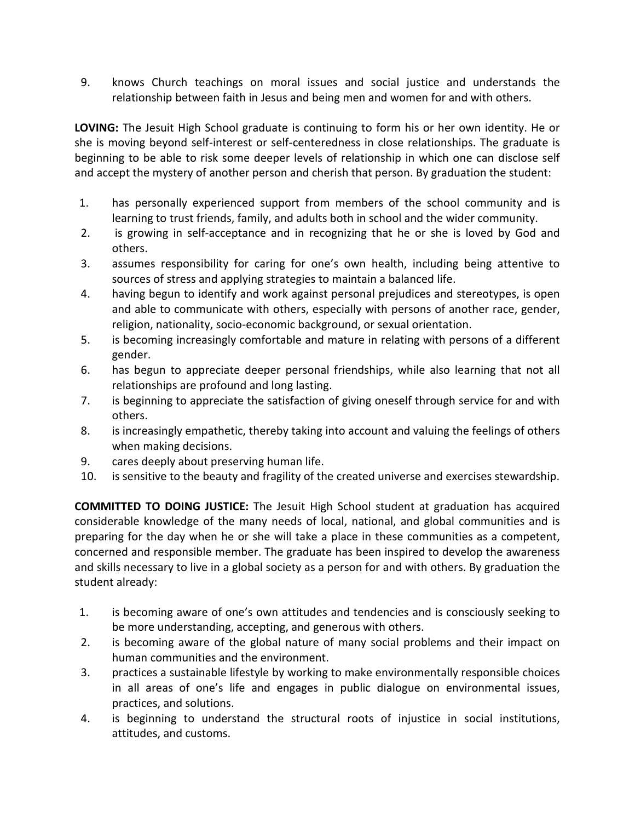9. knows Church teachings on moral issues and social justice and understands the relationship between faith in Jesus and being men and women for and with others.

**LOVING:** The Jesuit High School graduate is continuing to form his or her own identity. He or she is moving beyond self-interest or self-centeredness in close relationships. The graduate is beginning to be able to risk some deeper levels of relationship in which one can disclose self and accept the mystery of another person and cherish that person. By graduation the student:

- 1. has personally experienced support from members of the school community and is learning to trust friends, family, and adults both in school and the wider community.
- 2. is growing in self-acceptance and in recognizing that he or she is loved by God and others.
- 3. assumes responsibility for caring for one's own health, including being attentive to sources of stress and applying strategies to maintain a balanced life.
- 4. having begun to identify and work against personal prejudices and stereotypes, is open and able to communicate with others, especially with persons of another race, gender, religion, nationality, socio-economic background, or sexual orientation.
- 5. is becoming increasingly comfortable and mature in relating with persons of a different gender.
- 6. has begun to appreciate deeper personal friendships, while also learning that not all relationships are profound and long lasting.
- 7. is beginning to appreciate the satisfaction of giving oneself through service for and with others.
- 8. is increasingly empathetic, thereby taking into account and valuing the feelings of others when making decisions.
- 9. cares deeply about preserving human life.
- 10. is sensitive to the beauty and fragility of the created universe and exercises stewardship.

**COMMITTED TO DOING JUSTICE:** The Jesuit High School student at graduation has acquired considerable knowledge of the many needs of local, national, and global communities and is preparing for the day when he or she will take a place in these communities as a competent, concerned and responsible member. The graduate has been inspired to develop the awareness and skills necessary to live in a global society as a person for and with others. By graduation the student already:

- 1. is becoming aware of one's own attitudes and tendencies and is consciously seeking to be more understanding, accepting, and generous with others.
- 2. is becoming aware of the global nature of many social problems and their impact on human communities and the environment.
- 3. practices a sustainable lifestyle by working to make environmentally responsible choices in all areas of one's life and engages in public dialogue on environmental issues, practices, and solutions.
- 4. is beginning to understand the structural roots of injustice in social institutions, attitudes, and customs.